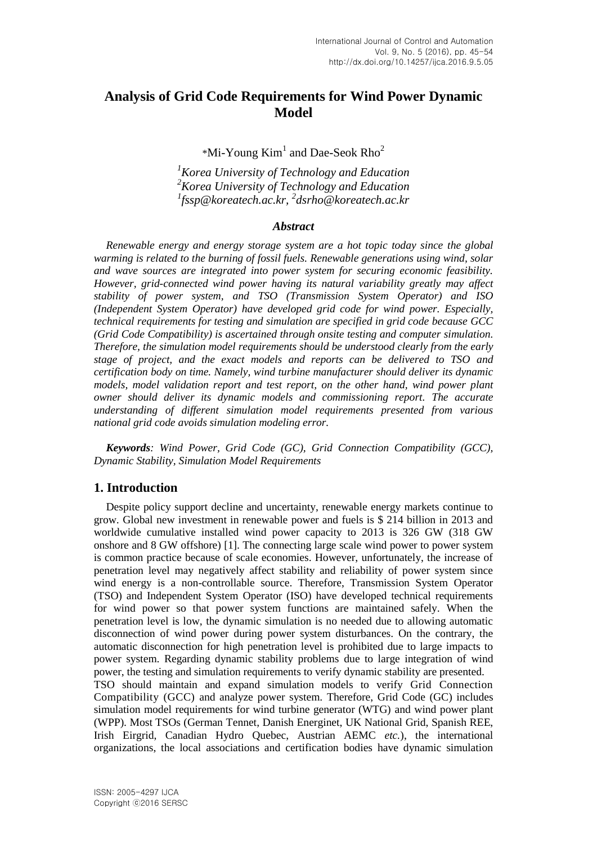# **Analysis of Grid Code Requirements for Wind Power Dynamic Model**

 $*$ Mi-Young Kim<sup>1</sup> and Dae-Seok Rho<sup>2</sup>

*<sup>1</sup>Korea University of Technology and Education <sup>2</sup>Korea University of Technology and Education 1 fssp@koreatech.ac.kr, <sup>2</sup> dsrho@koreatech.ac.kr*

## *Abstract*

*Renewable energy and energy storage system are a hot topic today since the global warming is related to the burning of fossil fuels. Renewable generations using wind, solar and wave sources are integrated into power system for securing economic feasibility. However, grid-connected wind power having its natural variability greatly may affect stability of power system, and TSO (Transmission System Operator) and ISO (Independent System Operator) have developed grid code for wind power. Especially, technical requirements for testing and simulation are specified in grid code because GCC (Grid Code Compatibility) is ascertained through onsite testing and computer simulation. Therefore, the simulation model requirements should be understood clearly from the early stage of project, and the exact models and reports can be delivered to TSO and certification body on time. Namely, wind turbine manufacturer should deliver its dynamic models, model validation report and test report, on the other hand, wind power plant owner should deliver its dynamic models and commissioning report. The accurate understanding of different simulation model requirements presented from various national grid code avoids simulation modeling error.*

*Keywords: Wind Power, Grid Code (GC), Grid Connection Compatibility (GCC), Dynamic Stability, Simulation Model Requirements*

## **1. Introduction**

Despite policy support decline and uncertainty, renewable energy markets continue to grow. Global new investment in renewable power and fuels is \$ 214 billion in 2013 and worldwide cumulative installed wind power capacity to 2013 is 326 GW (318 GW onshore and 8 GW offshore) [1]. The connecting large scale wind power to power system is common practice because of scale economies. However, unfortunately, the increase of penetration level may negatively affect stability and reliability of power system since wind energy is a non-controllable source. Therefore, Transmission System Operator (TSO) and Independent System Operator (ISO) have developed technical requirements for wind power so that power system functions are maintained safely. When the penetration level is low, the dynamic simulation is no needed due to allowing automatic disconnection of wind power during power system disturbances. On the contrary, the automatic disconnection for high penetration level is prohibited due to large impacts to power system. Regarding dynamic stability problems due to large integration of wind power, the testing and simulation requirements to verify dynamic stability are presented. TSO should maintain and expand simulation models to verify Grid Connection Compatibility (GCC) and analyze power system. Therefore, Grid Code (GC) includes simulation model requirements for wind turbine generator (WTG) and wind power plant (WPP). Most TSOs (German Tennet, Danish Energinet, UK National Grid, Spanish REE,

Irish Eirgrid, Canadian Hydro Quebec, Austrian AEMC *etc.*), the international organizations, the local associations and certification bodies have dynamic simulation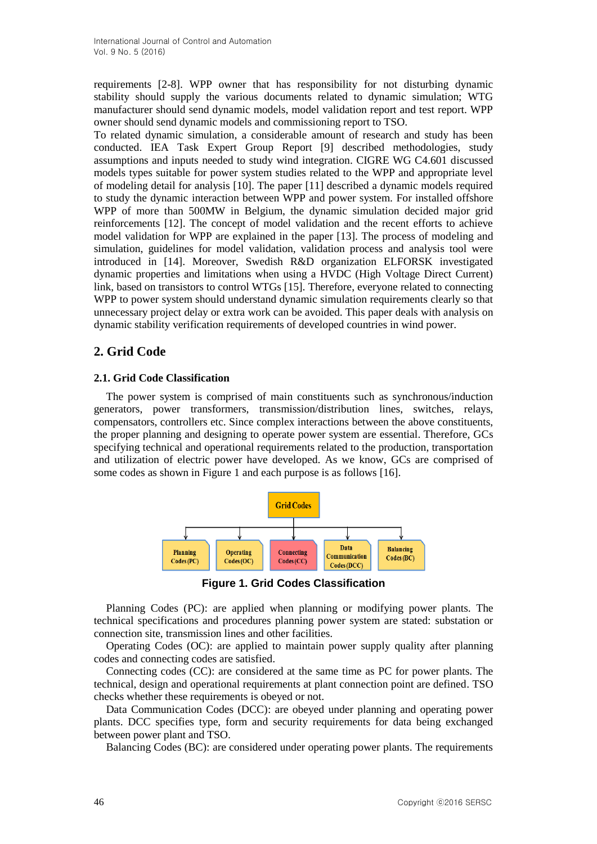requirements [2-8]. WPP owner that has responsibility for not disturbing dynamic stability should supply the various documents related to dynamic simulation; WTG manufacturer should send dynamic models, model validation report and test report. WPP owner should send dynamic models and commissioning report to TSO.

To related dynamic simulation, a considerable amount of research and study has been conducted. IEA Task Expert Group Report [9] described methodologies, study assumptions and inputs needed to study wind integration. CIGRE WG C4.601 discussed models types suitable for power system studies related to the WPP and appropriate level of modeling detail for analysis [10]. The paper [11] described a dynamic models required to study the dynamic interaction between WPP and power system. For installed offshore WPP of more than 500MW in Belgium, the dynamic simulation decided major grid reinforcements [12]. The concept of model validation and the recent efforts to achieve model validation for WPP are explained in the paper [13]. The process of modeling and simulation, guidelines for model validation, validation process and analysis tool were introduced in [14]. Moreover, Swedish R&D organization ELFORSK investigated dynamic properties and limitations when using a HVDC (High Voltage Direct Current) link, based on transistors to control WTGs [15]. Therefore, everyone related to connecting WPP to power system should understand dynamic simulation requirements clearly so that unnecessary project delay or extra work can be avoided. This paper deals with analysis on dynamic stability verification requirements of developed countries in wind power.

## **2. Grid Code**

## **2.1. Grid Code Classification**

The power system is comprised of main constituents such as synchronous/induction generators, power transformers, transmission/distribution lines, switches, relays, compensators, controllers etc. Since complex interactions between the above constituents, the proper planning and designing to operate power system are essential. Therefore, GCs specifying technical and operational requirements related to the production, transportation and utilization of electric power have developed. As we know, GCs are comprised of some codes as shown in Figure 1 and each purpose is as follows [16].



**Figure 1. Grid Codes Classification**

Planning Codes (PC): are applied when planning or modifying power plants. The technical specifications and procedures planning power system are stated: substation or connection site, transmission lines and other facilities.

Operating Codes (OC): are applied to maintain power supply quality after planning codes and connecting codes are satisfied.

Connecting codes (CC): are considered at the same time as PC for power plants. The technical, design and operational requirements at plant connection point are defined. TSO checks whether these requirements is obeyed or not.

Data Communication Codes (DCC): are obeyed under planning and operating power plants. DCC specifies type, form and security requirements for data being exchanged between power plant and TSO.

Balancing Codes (BC): are considered under operating power plants. The requirements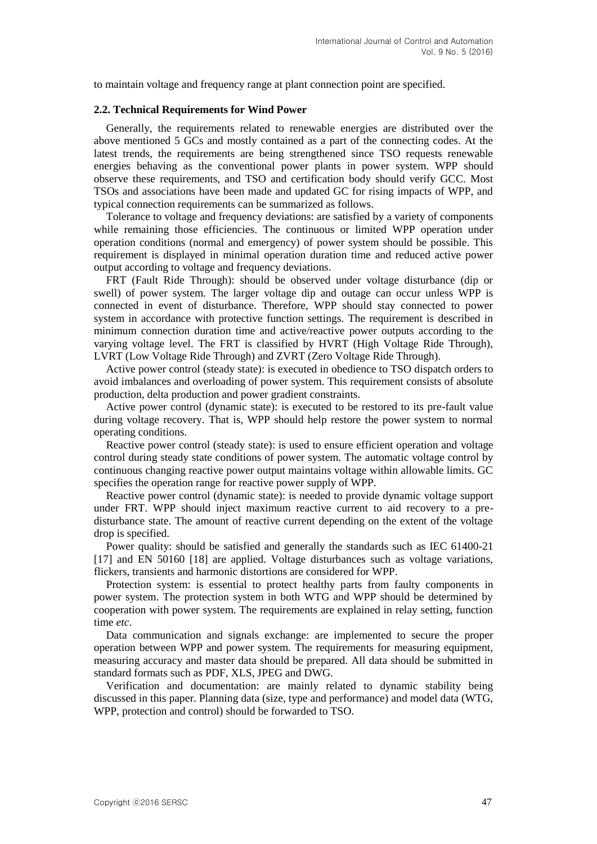to maintain voltage and frequency range at plant connection point are specified.

#### **2.2. Technical Requirements for Wind Power**

Generally, the requirements related to renewable energies are distributed over the above mentioned 5 GCs and mostly contained as a part of the connecting codes. At the latest trends, the requirements are being strengthened since TSO requests renewable energies behaving as the conventional power plants in power system. WPP should observe these requirements, and TSO and certification body should verify GCC. Most TSOs and associations have been made and updated GC for rising impacts of WPP, and typical connection requirements can be summarized as follows.

Tolerance to voltage and frequency deviations: are satisfied by a variety of components while remaining those efficiencies. The continuous or limited WPP operation under operation conditions (normal and emergency) of power system should be possible. This requirement is displayed in minimal operation duration time and reduced active power output according to voltage and frequency deviations.

FRT (Fault Ride Through): should be observed under voltage disturbance (dip or swell) of power system. The larger voltage dip and outage can occur unless WPP is connected in event of disturbance. Therefore, WPP should stay connected to power system in accordance with protective function settings. The requirement is described in minimum connection duration time and active/reactive power outputs according to the varying voltage level. The FRT is classified by HVRT (High Voltage Ride Through), LVRT (Low Voltage Ride Through) and ZVRT (Zero Voltage Ride Through).

Active power control (steady state): is executed in obedience to TSO dispatch orders to avoid imbalances and overloading of power system. This requirement consists of absolute production, delta production and power gradient constraints.

Active power control (dynamic state): is executed to be restored to its pre-fault value during voltage recovery. That is, WPP should help restore the power system to normal operating conditions.

Reactive power control (steady state): is used to ensure efficient operation and voltage control during steady state conditions of power system. The automatic voltage control by continuous changing reactive power output maintains voltage within allowable limits. GC specifies the operation range for reactive power supply of WPP.

Reactive power control (dynamic state): is needed to provide dynamic voltage support under FRT. WPP should inject maximum reactive current to aid recovery to a predisturbance state. The amount of reactive current depending on the extent of the voltage drop is specified.

Power quality: should be satisfied and generally the standards such as IEC 61400-21 [17] and EN 50160 [18] are applied. Voltage disturbances such as voltage variations, flickers, transients and harmonic distortions are considered for WPP.

Protection system: is essential to protect healthy parts from faulty components in power system. The protection system in both WTG and WPP should be determined by cooperation with power system. The requirements are explained in relay setting, function time *etc*.

Data communication and signals exchange: are implemented to secure the proper operation between WPP and power system. The requirements for measuring equipment, measuring accuracy and master data should be prepared. All data should be submitted in standard formats such as PDF, XLS, JPEG and DWG.

Verification and documentation: are mainly related to dynamic stability being discussed in this paper. Planning data (size, type and performance) and model data (WTG, WPP, protection and control) should be forwarded to TSO.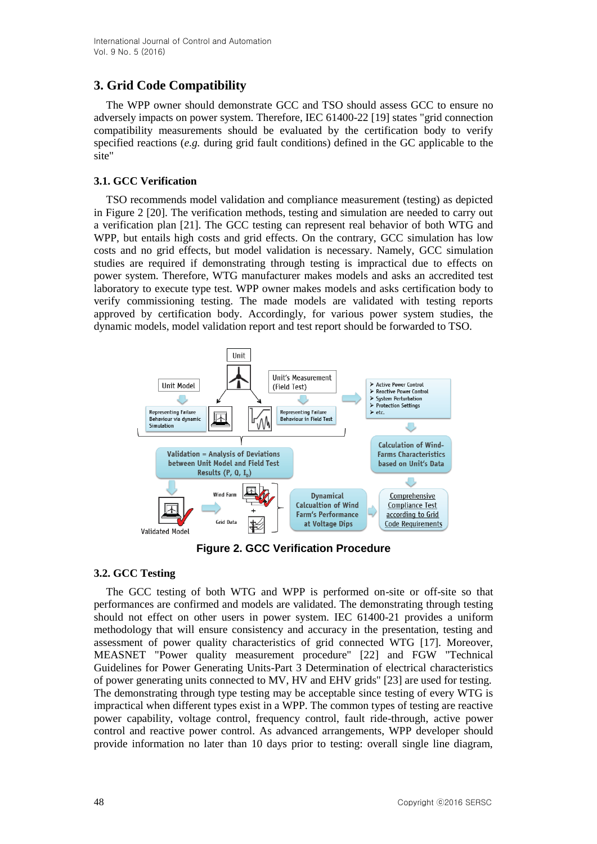# **3. Grid Code Compatibility**

The WPP owner should demonstrate GCC and TSO should assess GCC to ensure no adversely impacts on power system. Therefore, IEC 61400-22 [19] states "grid connection compatibility measurements should be evaluated by the certification body to verify specified reactions (*e.g.* during grid fault conditions) defined in the GC applicable to the site"

## **3.1. GCC Verification**

TSO recommends model validation and compliance measurement (testing) as depicted in Figure 2 [20]. The verification methods, testing and simulation are needed to carry out a verification plan [21]. The GCC testing can represent real behavior of both WTG and WPP, but entails high costs and grid effects. On the contrary, GCC simulation has low costs and no grid effects, but model validation is necessary. Namely, GCC simulation studies are required if demonstrating through testing is impractical due to effects on power system. Therefore, WTG manufacturer makes models and asks an accredited test laboratory to execute type test. WPP owner makes models and asks certification body to verify commissioning testing. The made models are validated with testing reports approved by certification body. Accordingly, for various power system studies, the dynamic models, model validation report and test report should be forwarded to TSO.



**Figure 2. GCC Verification Procedure**

## **3.2. GCC Testing**

The GCC testing of both WTG and WPP is performed on-site or off-site so that performances are confirmed and models are validated. The demonstrating through testing should not effect on other users in power system. IEC 61400-21 provides a uniform methodology that will ensure consistency and accuracy in the presentation, testing and assessment of power quality characteristics of grid connected WTG [17]. Moreover, MEASNET "Power quality measurement procedure" [22] and FGW "Technical Guidelines for Power Generating Units-Part 3 Determination of electrical characteristics of power generating units connected to MV, HV and EHV grids" [23] are used for testing. The demonstrating through type testing may be acceptable since testing of every WTG is impractical when different types exist in a WPP. The common types of testing are reactive power capability, voltage control, frequency control, fault ride-through, active power control and reactive power control. As advanced arrangements, WPP developer should provide information no later than 10 days prior to testing: overall single line diagram,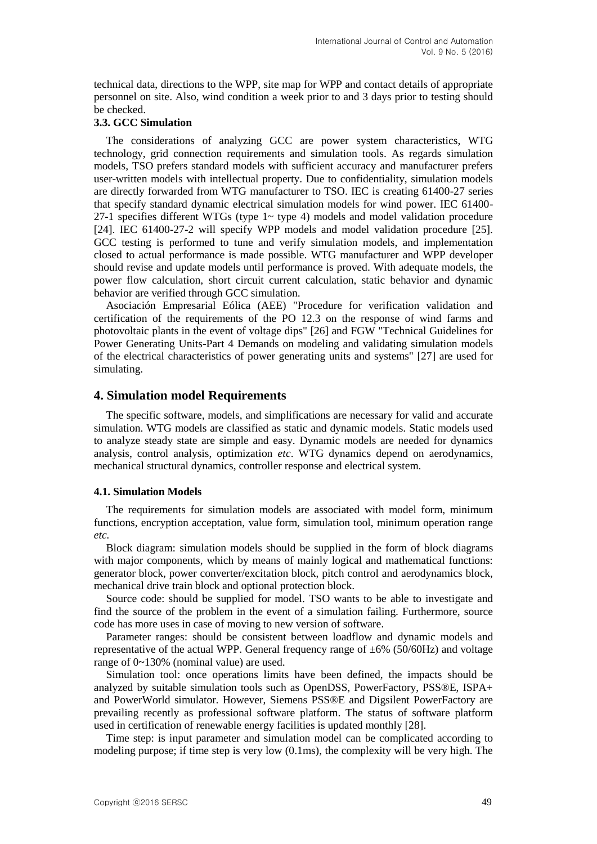technical data, directions to the WPP, site map for WPP and contact details of appropriate personnel on site. Also, wind condition a week prior to and 3 days prior to testing should be checked.

#### **3.3. GCC Simulation**

The considerations of analyzing GCC are power system characteristics, WTG technology, grid connection requirements and simulation tools. As regards simulation models, TSO prefers standard models with sufficient accuracy and manufacturer prefers user-written models with intellectual property. Due to confidentiality, simulation models are directly forwarded from WTG manufacturer to TSO. IEC is creating 61400-27 series that specify standard dynamic electrical simulation models for wind power. IEC 61400- 27-1 specifies different WTGs (type  $1 \sim$  type 4) models and model validation procedure [24]. IEC 61400-27-2 will specify WPP models and model validation procedure [25]. GCC testing is performed to tune and verify simulation models, and implementation closed to actual performance is made possible. WTG manufacturer and WPP developer should revise and update models until performance is proved. With adequate models, the power flow calculation, short circuit current calculation, static behavior and dynamic behavior are verified through GCC simulation.

Asociación Empresarial Eólica (AEE) "Procedure for verification validation and certification of the requirements of the PO 12.3 on the response of wind farms and photovoltaic plants in the event of voltage dips" [26] and FGW "Technical Guidelines for Power Generating Units-Part 4 Demands on modeling and validating simulation models of the electrical characteristics of power generating units and systems" [27] are used for simulating.

## **4. Simulation model Requirements**

The specific software, models, and simplifications are necessary for valid and accurate simulation. WTG models are classified as static and dynamic models. Static models used to analyze steady state are simple and easy. Dynamic models are needed for dynamics analysis, control analysis, optimization *etc*. WTG dynamics depend on aerodynamics, mechanical structural dynamics, controller response and electrical system.

#### **4.1. Simulation Models**

The requirements for simulation models are associated with model form, minimum functions, encryption acceptation, value form, simulation tool, minimum operation range *etc.*

Block diagram: simulation models should be supplied in the form of block diagrams with major components, which by means of mainly logical and mathematical functions: generator block, power converter/excitation block, pitch control and aerodynamics block, mechanical drive train block and optional protection block.

Source code: should be supplied for model. TSO wants to be able to investigate and find the source of the problem in the event of a simulation failing. Furthermore, source code has more uses in case of moving to new version of software.

Parameter ranges: should be consistent between loadflow and dynamic models and representative of the actual WPP. General frequency range of  $\pm 6\%$  (50/60Hz) and voltage range of 0~130% (nominal value) are used.

Simulation tool: once operations limits have been defined, the impacts should be analyzed by suitable simulation tools such as OpenDSS, PowerFactory, PSS®E, ISPA+ and PowerWorld simulator. However, Siemens PSS®E and Digsilent PowerFactory are prevailing recently as professional software platform. The status of software platform used in certification of renewable energy facilities is updated monthly [28].

Time step: is input parameter and simulation model can be complicated according to modeling purpose; if time step is very low (0.1ms), the complexity will be very high. The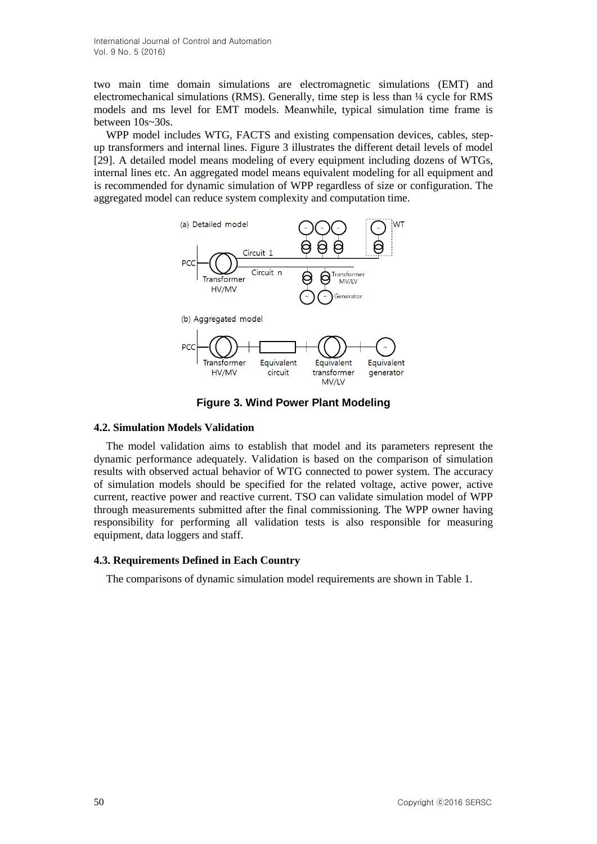two main time domain simulations are electromagnetic simulations (EMT) and electromechanical simulations (RMS). Generally, time step is less than ¼ cycle for RMS models and ms level for EMT models. Meanwhile, typical simulation time frame is between 10s~30s.

WPP model includes WTG, FACTS and existing compensation devices, cables, stepup transformers and internal lines. Figure 3 illustrates the different detail levels of model [29]. A detailed model means modeling of every equipment including dozens of WTGs, internal lines etc. An aggregated model means equivalent modeling for all equipment and is recommended for dynamic simulation of WPP regardless of size or configuration. The aggregated model can reduce system complexity and computation time.



**Figure 3. Wind Power Plant Modeling**

#### **4.2. Simulation Models Validation**

The model validation aims to establish that model and its parameters represent the dynamic performance adequately. Validation is based on the comparison of simulation results with observed actual behavior of WTG connected to power system. The accuracy of simulation models should be specified for the related voltage, active power, active current, reactive power and reactive current. TSO can validate simulation model of WPP through measurements submitted after the final commissioning. The WPP owner having responsibility for performing all validation tests is also responsible for measuring equipment, data loggers and staff.

#### **4.3. Requirements Defined in Each Country**

The comparisons of dynamic simulation model requirements are shown in Table 1.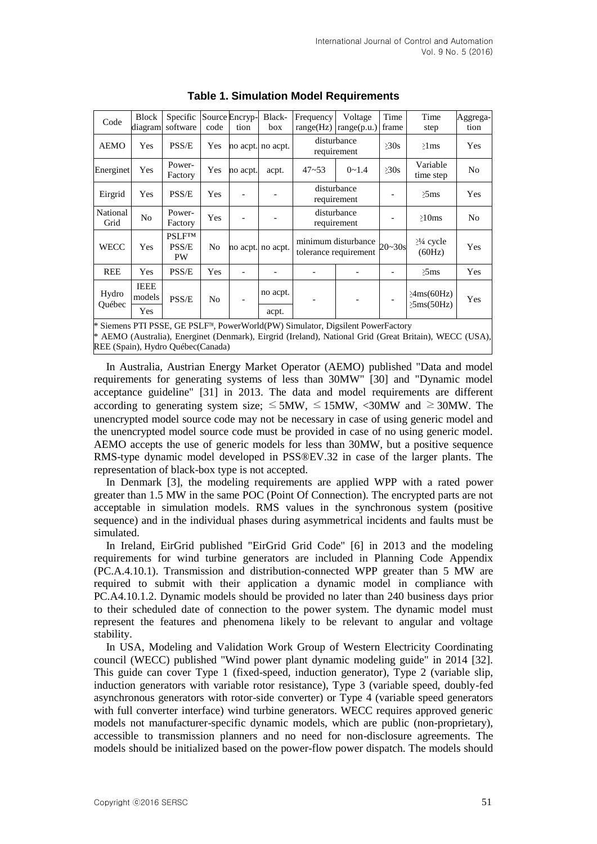| Code                                                                         | <b>Block</b><br>diagram        | Specific<br>software                | code | Source Encryp-<br>tion | Black-<br>box | Frequency<br>range(Hz)                       | Voltage<br>range(p.u.) | Time<br>frame | Time<br>step                                       | Aggrega-<br>tion |
|------------------------------------------------------------------------------|--------------------------------|-------------------------------------|------|------------------------|---------------|----------------------------------------------|------------------------|---------------|----------------------------------------------------|------------------|
| <b>AEMO</b>                                                                  | Yes                            | PSS/E                               | Yes  | no acpt.               | no acpt.      | disturbance<br>requirement                   |                        | >30s          | $\geq$ 1 ms                                        | Yes              |
| Energinet                                                                    | Yes                            | Power-<br>Factory                   | Yes  | no acpt.               | acpt.         | $47 - 53$                                    | $0 - 1.4$              | $\geq 30s$    | Variable<br>time step                              | No               |
| Eirgrid                                                                      | Yes                            | PSS/E                               | Yes  |                        |               | disturbance<br>requirement                   |                        |               | $\geq$ 5ms                                         | Yes              |
| National<br>Grid                                                             | No                             | Power-<br>Factory                   | Yes  |                        |               | disturbance<br>requirement                   |                        |               | $>10$ ms                                           | N <sub>0</sub>   |
| WECC                                                                         | Yes                            | <b>PSLFTM</b><br>PSS/E<br><b>PW</b> | No   | no acpt.               | no acpt.      | minimum disturbance<br>tolerance requirement |                        | $20 - 30s$    | $\geq$ <sup>1</sup> / <sub>4</sub> cycle<br>(60Hz) | Yes              |
| <b>REE</b>                                                                   | Yes                            | PSS/E                               | Yes  |                        |               |                                              |                        |               | $\geq$ 5ms                                         | Yes              |
| Hydro<br>Québec                                                              | <b>IEEE</b><br>models<br>PSS/E |                                     | No   |                        | no acpt.      |                                              |                        |               | $\geq$ 4ms(60Hz)<br>$\geq$ 5ms(50Hz)               | Yes              |
|                                                                              | Yes                            |                                     |      |                        | acpt.         |                                              |                        |               |                                                    |                  |
| * Sigmans DTI DCCE CE DCI EM DowarWorld(DW) Simulator Diguilant DowarFactory |                                |                                     |      |                        |               |                                              |                        |               |                                                    |                  |

**Table 1. Simulation Model Requirements**

PTI PSSE, GE PSLF™, PowerWorld(PW) Simulator, Digsilent PowerFactory \* AEMO (Australia), Energinet (Denmark), Eirgrid (Ireland), National Grid (Great Britain), WECC (USA), REE (Spain), Hydro Québec(Canada)

In Australia, Austrian Energy Market Operator (AEMO) published "Data and model requirements for generating systems of less than 30MW" [30] and "Dynamic model acceptance guideline" [31] in 2013. The data and model requirements are different according to generating system size;  $\leq$  5MW,  $\leq$  15MW,  $\lt$ 30MW and  $\geq$  30MW. The unencrypted model source code may not be necessary in case of using generic model and the unencrypted model source code must be provided in case of no using generic model. AEMO accepts the use of generic models for less than 30MW, but a positive sequence RMS-type dynamic model developed in PSS®EV.32 in case of the larger plants. The representation of black-box type is not accepted.

In Denmark [3], the modeling requirements are applied WPP with a rated power greater than 1.5 MW in the same POC (Point Of Connection). The encrypted parts are not acceptable in simulation models. RMS values in the synchronous system (positive sequence) and in the individual phases during asymmetrical incidents and faults must be simulated.

In Ireland, EirGrid published "EirGrid Grid Code" [6] in 2013 and the modeling requirements for wind turbine generators are included in Planning Code Appendix (PC.A.4.10.1). Transmission and distribution-connected WPP greater than 5 MW are required to submit with their application a dynamic model in compliance with PC.A4.10.1.2. Dynamic models should be provided no later than 240 business days prior to their scheduled date of connection to the power system. The dynamic model must represent the features and phenomena likely to be relevant to angular and voltage stability.

In USA, Modeling and Validation Work Group of Western Electricity Coordinating council (WECC) published "Wind power plant dynamic modeling guide" in 2014 [32]. This guide can cover Type 1 (fixed-speed, induction generator), Type 2 (variable slip, induction generators with variable rotor resistance), Type 3 (variable speed, doubly-fed asynchronous generators with rotor-side converter) or Type 4 (variable speed generators with full converter interface) wind turbine generators. WECC requires approved generic models not manufacturer-specific dynamic models, which are public (non-proprietary), accessible to transmission planners and no need for non-disclosure agreements. The models should be initialized based on the power-flow power dispatch. The models should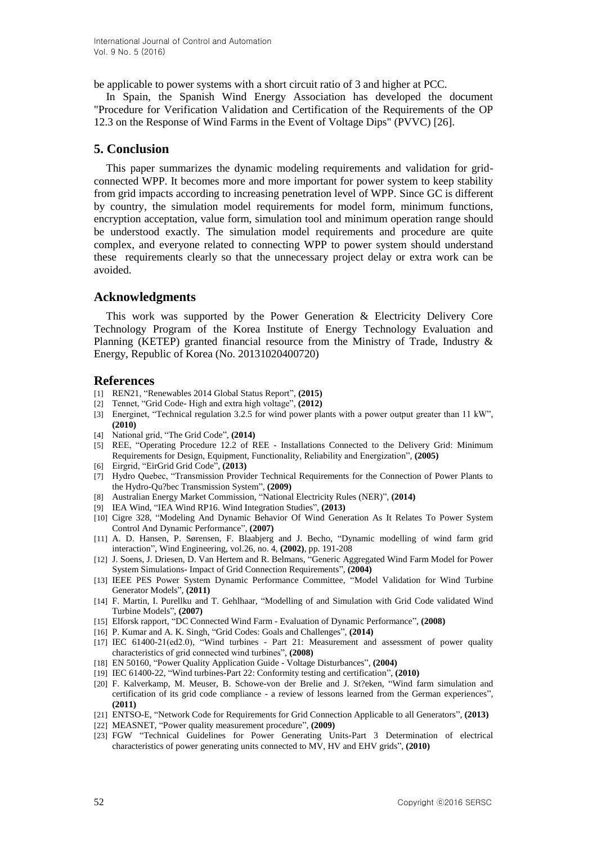be applicable to power systems with a short circuit ratio of 3 and higher at PCC.

In Spain, the Spanish Wind Energy Association has developed the document "Procedure for Verification Validation and Certification of the Requirements of the OP 12.3 on the Response of Wind Farms in the Event of Voltage Dips" (PVVC) [26].

#### **5. Conclusion**

This paper summarizes the dynamic modeling requirements and validation for gridconnected WPP. It becomes more and more important for power system to keep stability from grid impacts according to increasing penetration level of WPP. Since GC is different by country, the simulation model requirements for model form, minimum functions, encryption acceptation, value form, simulation tool and minimum operation range should be understood exactly. The simulation model requirements and procedure are quite complex, and everyone related to connecting WPP to power system should understand these requirements clearly so that the unnecessary project delay or extra work can be avoided.

#### **Acknowledgments**

This work was supported by the Power Generation & Electricity Delivery Core Technology Program of the Korea Institute of Energy Technology Evaluation and Planning (KETEP) granted financial resource from the Ministry of Trade, Industry & Energy, Republic of Korea (No. 20131020400720)

#### **References**

- [1] REN21, "Renewables 2014 Global Status Report", **(2015)**
- [2] Tennet, "Grid Code- High and extra high voltage", **(2012)**
- [3] Energinet, "Technical regulation 3.2.5 for wind power plants with a power output greater than 11 kW", **(2010)**
- [4] National grid, "The Grid Code", **(2014)**
- [5] REE, "Operating Procedure 12.2 of REE Installations Connected to the Delivery Grid: Minimum Requirements for Design, Equipment, Functionality, Reliability and Energization", **(2005)**
- [6] Eirgrid, "EirGrid Grid Code", **(2013)**
- [7] Hydro Quebec, "Transmission Provider Technical Requirements for the Connection of Power Plants to the Hydro-Qu?bec Transmission System", **(2009)**
- [8] Australian Energy Market Commission, "National Electricity Rules (NER)", **(2014)**
- [9] IEA Wind, "IEA Wind RP16. Wind Integration Studies", **(2013)**
- [10] Cigre 328, "Modeling And Dynamic Behavior Of Wind Generation As It Relates To Power System Control And Dynamic Performance", **(2007)**
- [11] A. D. Hansen, P. Sørensen, F. Blaabjerg and J. Becho, "Dynamic modelling of wind farm grid interaction", Wind Engineering, vol.26, no. 4, **(2002)**, pp. 191-208
- [12] J. Soens, J. Driesen, D. Van Hertem and R. Belmans, "Generic Aggregated Wind Farm Model for Power System Simulations- Impact of Grid Connection Requirements", **(2004)**
- [13] IEEE PES Power System Dynamic Performance Committee, "Model Validation for Wind Turbine Generator Models", **(2011)**
- [14] F. Martin, I. Purellku and T. Gehlhaar, "Modelling of and Simulation with Grid Code validated Wind Turbine Models", **(2007)**
- [15] Elforsk rapport, "DC Connected Wind Farm Evaluation of Dynamic Performance", **(2008)**
- [16] P. Kumar and A. K. Singh, "Grid Codes: Goals and Challenges", **(2014)**
- [17] IEC 61400-21(ed2.0), "Wind turbines Part 21: Measurement and assessment of power quality characteristics of grid connected wind turbines", **(2008)**
- [18] EN 50160, "Power Quality Application Guide Voltage Disturbances", **(2004)**
- [19] IEC 61400-22, "Wind turbines-Part 22: Conformity testing and certification", **(2010)**
- [20] F. Kalverkamp, M. Meuser, B. Schowe-von der Brelie and J. St?eken, "Wind farm simulation and certification of its grid code compliance - a review of lessons learned from the German experiences", **(2011)**
- [21] ENTSO-E, "Network Code for Requirements for Grid Connection Applicable to all Generators", **(2013)**
- [22] MEASNET, "Power quality measurement procedure", **(2009)**
- [23] FGW "Technical Guidelines for Power Generating Units-Part 3 Determination of electrical characteristics of power generating units connected to MV, HV and EHV grids", **(2010)**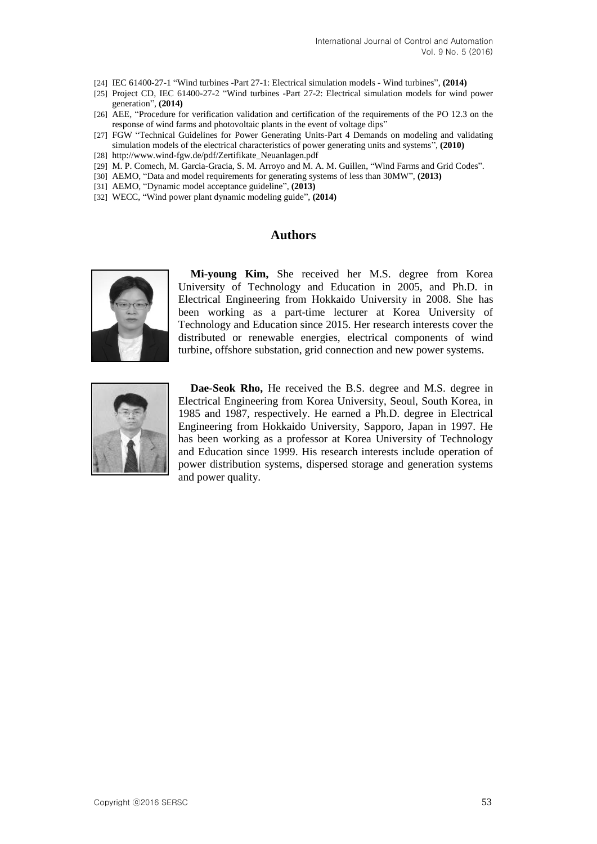- [24] IEC 61400-27-1 "Wind turbines -Part 27-1: Electrical simulation models Wind turbines", **(2014)**
- [25] Project CD, IEC 61400-27-2 "Wind turbines -Part 27-2: Electrical simulation models for wind power generation", **(2014)**
- [26] AEE, "Procedure for verification validation and certification of the requirements of the PO 12.3 on the response of wind farms and photovoltaic plants in the event of voltage dips"
- [27] FGW "Technical Guidelines for Power Generating Units-Part 4 Demands on modeling and validating simulation models of the electrical characteristics of power generating units and systems", **(2010)**
- [28] http://www.wind-fgw.de/pdf/Zertifikate\_Neuanlagen.pdf
- [29] M. P. Comech, M. Garcia-Gracia, S. M. Arroyo and M. A. M. Guillen, "Wind Farms and Grid Codes".
- [30] AEMO, "Data and model requirements for generating systems of less than 30MW", **(2013)**
- [31] AEMO, "Dynamic model acceptance guideline", **(2013)**
- [32] WECC, "Wind power plant dynamic modeling guide", **(2014)**

## **Authors**



**Mi-young Kim,** She received her M.S. degree from Korea University of Technology and Education in 2005, and Ph.D. in Electrical Engineering from Hokkaido University in 2008. She has been working as a part-time lecturer at Korea University of Technology and Education since 2015. Her research interests cover the distributed or renewable energies, electrical components of wind turbine, offshore substation, grid connection and new power systems.



**Dae-Seok Rho,** He received the B.S. degree and M.S. degree in Electrical Engineering from Korea University, Seoul, South Korea, in 1985 and 1987, respectively. He earned a Ph.D. degree in Electrical Engineering from Hokkaido University, Sapporo, Japan in 1997. He has been working as a professor at Korea University of Technology and Education since 1999. His research interests include operation of power distribution systems, dispersed storage and generation systems and power quality.